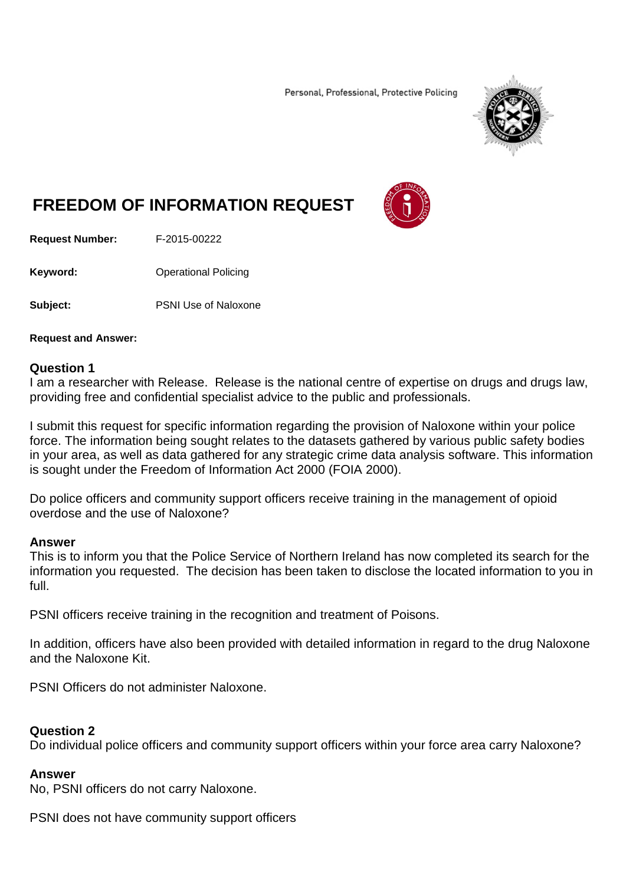Personal, Professional, Protective Policing



# **FREEDOM OF INFORMATION REQUEST**



**Request Number:** F-2015-00222

**Keyword:** Operational Policing

**Subject:** PSNI Use of Naloxone

**Request and Answer:**

#### **Question 1**

I am a researcher with Release. Release is the national centre of expertise on drugs and drugs law, providing free and confidential specialist advice to the public and professionals.

I submit this request for specific information regarding the provision of Naloxone within your police force. The information being sought relates to the datasets gathered by various public safety bodies in your area, as well as data gathered for any strategic crime data analysis software. This information is sought under the Freedom of Information Act 2000 (FOIA 2000).

Do police officers and community support officers receive training in the management of opioid overdose and the use of Naloxone?

#### **Answer**

This is to inform you that the Police Service of Northern Ireland has now completed its search for the information you requested. The decision has been taken to disclose the located information to you in full.

PSNI officers receive training in the recognition and treatment of Poisons.

In addition, officers have also been provided with detailed information in regard to the drug Naloxone and the Naloxone Kit.

PSNI Officers do not administer Naloxone.

## **Question 2**

Do individual police officers and community support officers within your force area carry Naloxone?

#### **Answer**

No, PSNI officers do not carry Naloxone.

PSNI does not have community support officers